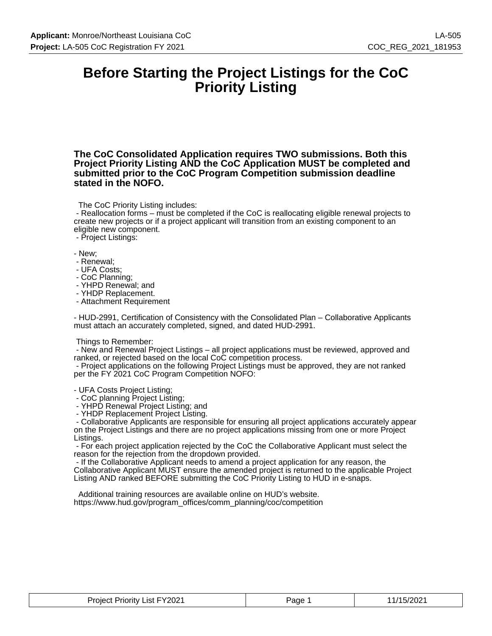### **Before Starting the Project Listings for the CoC Priority Listing**

**The CoC Consolidated Application requires TWO submissions. Both this Project Priority Listing AND the CoC Application MUST be completed and submitted prior to the CoC Program Competition submission deadline stated in the NOFO.**

The CoC Priority Listing includes:

 - Reallocation forms – must be completed if the CoC is reallocating eligible renewal projects to create new projects or if a project applicant will transition from an existing component to an eligible new component.

- Project Listings:

- New;

- Renewal;
- UFA Costs;
- CoC Planning;
- YHPD Renewal; and
- YHDP Replacement.
- Attachment Requirement

- HUD-2991, Certification of Consistency with the Consolidated Plan – Collaborative Applicants must attach an accurately completed, signed, and dated HUD-2991.

#### Things to Remember:

 - New and Renewal Project Listings – all project applications must be reviewed, approved and ranked, or rejected based on the local CoC competition process.

 - Project applications on the following Project Listings must be approved, they are not ranked per the FY 2021 CoC Program Competition NOFO:

- UFA Costs Project Listing;

- CoC planning Project Listing;

- YHPD Renewal Project Listing; and

- YHDP Replacement Project Listing.

 - Collaborative Applicants are responsible for ensuring all project applications accurately appear on the Project Listings and there are no project applications missing from one or more Project Listings.

 - For each project application rejected by the CoC the Collaborative Applicant must select the reason for the rejection from the dropdown provided.

 - If the Collaborative Applicant needs to amend a project application for any reason, the Collaborative Applicant MUST ensure the amended project is returned to the applicable Project Listing AND ranked BEFORE submitting the CoC Priority Listing to HUD in e-snaps.

 Additional training resources are available online on HUD's website. https://www.hud.gov/program\_offices/comm\_planning/coc/competition

| <b>Project Priority List FY2021</b> | Page | 11/15/2021 |
|-------------------------------------|------|------------|
|-------------------------------------|------|------------|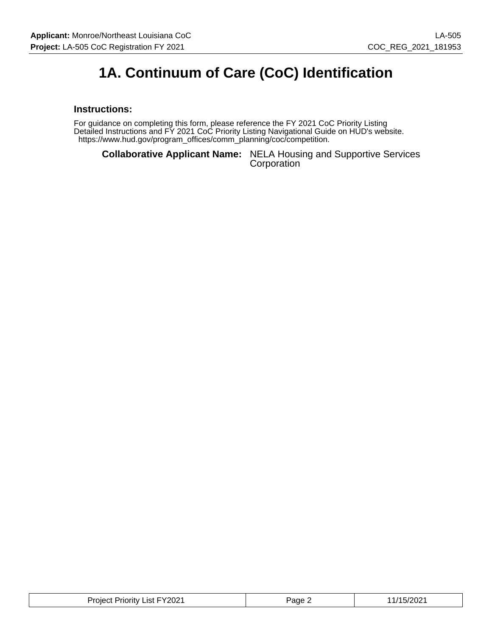## **1A. Continuum of Care (CoC) Identification**

### **Instructions:**

For guidance on completing this form, please reference the FY 2021 CoC Priority Listing Detailed Instructions and FY 2021 CoC Priority Listing Navigational Guide on HUD's website. https://www.hud.gov/program\_offices/comm\_planning/coc/competition.

**Collaborative Applicant Name:** NELA Housing and Supportive Services **Corporation** 

| <b>Project Priority List FY2021</b> | Page | 15/2021<br>14E<br>______ |
|-------------------------------------|------|--------------------------|
|-------------------------------------|------|--------------------------|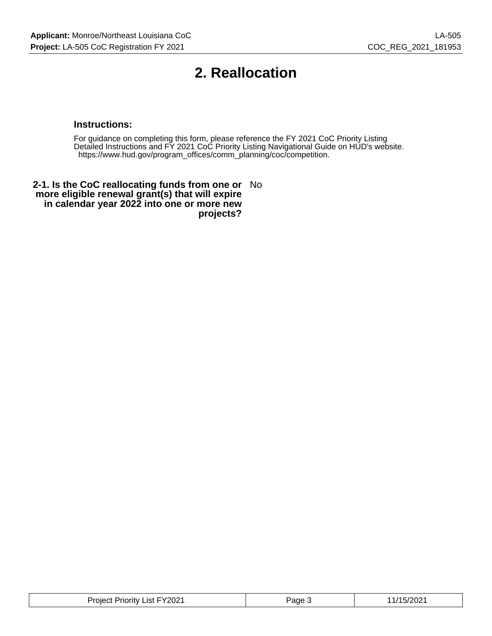## **2. Reallocation**

### **Instructions:**

For guidance on completing this form, please reference the FY 2021 CoC Priority Listing Detailed Instructions and FY 2021 CoC Priority Listing Navigational Guide on HUD's website. https://www.hud.gov/program\_offices/comm\_planning/coc/competition.

**2-1. Is the CoC reallocating funds from one or** No **more eligible renewal grant(s) that will expire in calendar year 2022 into one or more new projects?**

| FY2021<br>_ıst<br>Project<br>Priority. | Page | ے∪∠ <i>ו</i> כי |
|----------------------------------------|------|-----------------|
|----------------------------------------|------|-----------------|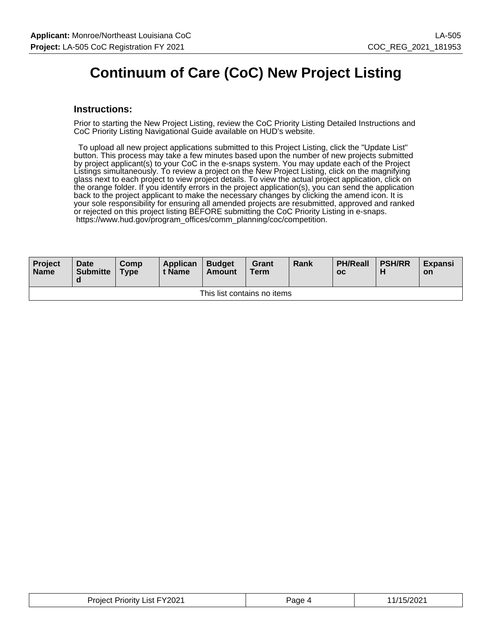## **Continuum of Care (CoC) New Project Listing**

### **Instructions:**

Prior to starting the New Project Listing, review the CoC Priority Listing Detailed Instructions and CoC Priority Listing Navigational Guide available on HUD's website.

 To upload all new project applications submitted to this Project Listing, click the "Update List" button. This process may take a few minutes based upon the number of new projects submitted by project applicant(s) to your CoC in the e-snaps system. You may update each of the Project Listings simultaneously. To review a project on the New Project Listing, click on the magnifying glass next to each project to view project details. To view the actual project application, click on the orange folder. If you identify errors in the project application(s), you can send the application back to the project applicant to make the necessary changes by clicking the amend icon. It is your sole responsibility for ensuring all amended projects are resubmitted, approved and ranked or rejected on this project listing BEFORE submitting the CoC Priority Listing in e-snaps. https://www.hud.gov/program\_offices/comm\_planning/coc/competition.

| Project<br><b>Name</b>      | <b>Date</b><br><b>Submitte</b><br>a | Comp<br><b>Type</b> | Applican<br>t Name | <b>Budget</b><br>Amount | Grant<br><b>Term</b> | Rank | <b>PH/Reall</b><br>OC | <b>PSH/RR</b> | <b>Expansi</b><br><b>on</b> |
|-----------------------------|-------------------------------------|---------------------|--------------------|-------------------------|----------------------|------|-----------------------|---------------|-----------------------------|
| This list contains no items |                                     |                     |                    |                         |                      |      |                       |               |                             |

| <b>Project Priority List FY2021</b> | aqe | ורחריו '<br>$\overline{A}$<br>$UZUZ$ .<br>______ |
|-------------------------------------|-----|--------------------------------------------------|
|-------------------------------------|-----|--------------------------------------------------|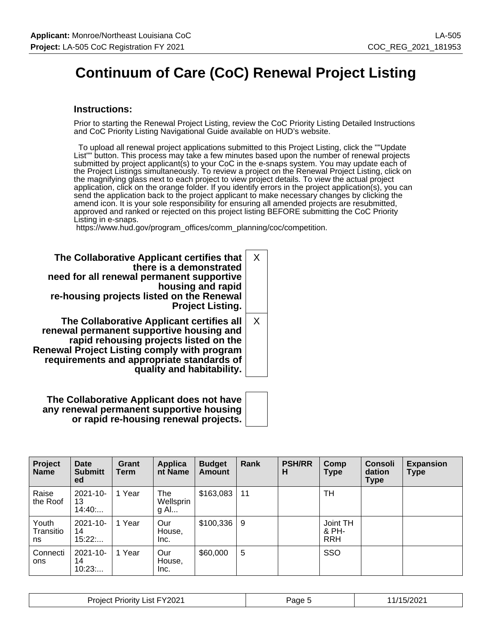# **Continuum of Care (CoC) Renewal Project Listing**

### **Instructions:**

Prior to starting the Renewal Project Listing, review the CoC Priority Listing Detailed Instructions and CoC Priority Listing Navigational Guide available on HUD's website.

 To upload all renewal project applications submitted to this Project Listing, click the ""Update List"" button. This process may take a few minutes based upon the number of renewal projects submitted by project applicant(s) to your CoC in the e-snaps system. You may update each of the Project Listings simultaneously. To review a project on the Renewal Project Listing, click on the magnifying glass next to each project to view project details. To view the actual project application, click on the orange folder. If you identify errors in the project application(s), you can send the application back to the project applicant to make necessary changes by clicking the amend icon. It is your sole responsibility for ensuring all amended projects are resubmitted, approved and ranked or rejected on this project listing BEFORE submitting the CoC Priority Listing in e-snaps.

https://www.hud.gov/program\_offices/comm\_planning/coc/competition.

| The Collaborative Applicant certifies that<br>there is a demonstrated<br>need for all renewal permanent supportive<br>housing and rapid<br>re-housing projects listed on the Renewal<br><b>Project Listing.</b>                                                 | X |
|-----------------------------------------------------------------------------------------------------------------------------------------------------------------------------------------------------------------------------------------------------------------|---|
| The Collaborative Applicant certifies all<br>renewal permanent supportive housing and<br>rapid rehousing projects listed on the<br><b>Renewal Project Listing comply with program</b><br>requirements and appropriate standards of<br>quality and habitability. | X |

**The Collaborative Applicant does not have any renewal permanent supportive housing or rapid re-housing renewal projects.**

| Project<br><b>Name</b>   | <b>Date</b><br><b>Submitt</b><br>ed | Grant<br>Term | Applica<br>nt Name       | <b>Budget</b><br>Amount | Rank | <b>PSH/RR</b><br>н | Comp<br>Type                    | <b>Consoli</b><br>dation<br><b>Type</b> | <b>Expansion</b><br><b>Type</b> |
|--------------------------|-------------------------------------|---------------|--------------------------|-------------------------|------|--------------------|---------------------------------|-----------------------------------------|---------------------------------|
| Raise<br>the Roof        | 2021-10-<br>13<br>14:40             | 1 Year        | The<br>Wellsprin<br>g Al | \$163,083               | 11   |                    | <b>TH</b>                       |                                         |                                 |
| Youth<br>Transitio<br>ns | 2021-10-<br>14<br>15:22             | 1 Year        | Our<br>House,<br>Inc.    | $$100,336$   9          |      |                    | Joint TH<br>& PH-<br><b>RRH</b> |                                         |                                 |
| Connecti<br>ons          | 2021-10-<br>14<br>10:23             | 1 Year        | Our<br>House,<br>Inc.    | \$60,000                | 5    |                    | SSO                             |                                         |                                 |

| <b>Project Priority List FY2021</b> | Page | 15/2021<br>11L<br>1 A |
|-------------------------------------|------|-----------------------|
|-------------------------------------|------|-----------------------|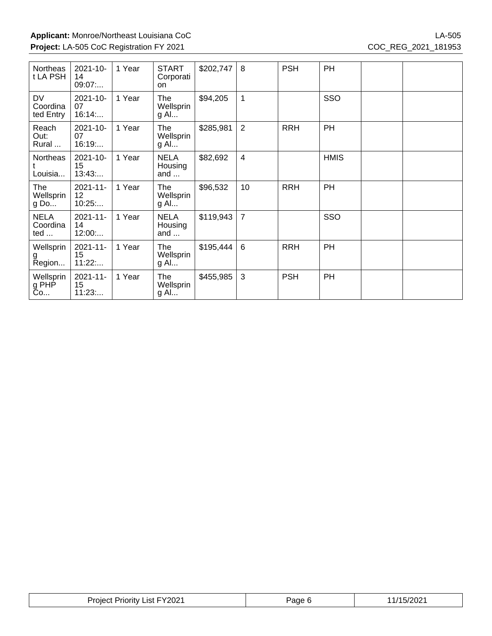| <b>Northeas</b><br>t LA PSH        | $2021 - 10 -$<br>14<br>09:07:             | 1 Year | <b>START</b><br>Corporati<br><b>on</b> | \$202,747 | 8               | <b>PSH</b> | PH          |  |
|------------------------------------|-------------------------------------------|--------|----------------------------------------|-----------|-----------------|------------|-------------|--|
| <b>DV</b><br>Coordina<br>ted Entry | $2021 - 10 -$<br>07<br>16:14              | 1 Year | The<br>Wellsprin<br>$g$ Al             | \$94,205  | 1               |            | SSO         |  |
| Reach<br>Out:<br>Rural             | $2021 - 10 -$<br>07<br>16:19              | 1 Year | <b>The</b><br>Wellsprin<br>g Al        | \$285,981 | 2               | <b>RRH</b> | PH          |  |
| Northeas<br>Louisia                | $2021 - 10 -$<br>15<br>13:43              | 1 Year | <b>NELA</b><br>Housing<br>and $\dots$  | \$82,692  | $\overline{4}$  |            | <b>HMIS</b> |  |
| The<br>Wellsprin<br>$g$ Do         | $2021 - 11 -$<br>12 <sup>°</sup><br>10:25 | 1 Year | The<br>Wellsprin<br>$g$ Al             | \$96,532  | 10 <sup>1</sup> | <b>RRH</b> | PH          |  |
| <b>NELA</b><br>Coordina<br>ted     | $2021 - 11 -$<br>14<br>12:00              | 1 Year | <b>NELA</b><br>Housing<br>and $\dots$  | \$119,943 | $\overline{7}$  |            | SSO         |  |
| Wellsprin<br>g<br>Region           | $2021 - 11 -$<br>15<br>11:22:             | 1 Year | <b>The</b><br>Wellsprin<br>g Al        | \$195,444 | 6               | <b>RRH</b> | PH          |  |
| Wellsprin<br>g PHP<br>Co           | $2021 - 11 -$<br>15<br>11:23              | 1 Year | The<br>Wellsprin<br>g Al               | \$455,985 | 3               | <b>PSH</b> | PH          |  |

| List FY2021<br>Project<br>Priority | ane. |  |
|------------------------------------|------|--|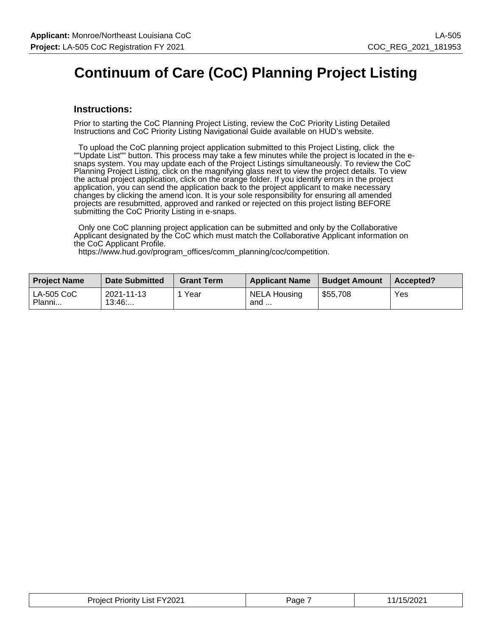# **Continuum of Care (CoC) Planning Project Listing**

### **Instructions:**

Prior to starting the CoC Planning Project Listing, review the CoC Priority Listing Detailed Instructions and CoC Priority Listing Navigational Guide available on HUD's website.

 To upload the CoC planning project application submitted to this Project Listing, click the ""Update List"" button. This process may take a few minutes while the project is located in the esnaps system. You may update each of the Project Listings simultaneously. To review the CoC Planning Project Listing, click on the magnifying glass next to view the project details. To view the actual project application, click on the orange folder. If you identify errors in the project application, you can send the application back to the project applicant to make necessary changes by clicking the amend icon. It is your sole responsibility for ensuring all amended projects are resubmitted, approved and ranked or rejected on this project listing BEFORE submitting the CoC Priority Listing in e-snaps.

 Only one CoC planning project application can be submitted and only by the Collaborative Applicant designated by the CoC which must match the Collaborative Applicant information on the CoC Applicant Profile.

https://www.hud.gov/program\_offices/comm\_planning/coc/competition.

| <b>Project Name</b>  | <b>Date Submitted</b> | <b>Grant Term</b> | <b>Applicant Name</b>              | <b>Budget Amount</b> | Accepted? |
|----------------------|-----------------------|-------------------|------------------------------------|----------------------|-----------|
| LA-505 CoC<br>Planni | 2021-11-13<br>13:46:  | Year              | <b>NELA Housing</b><br>and $\dots$ | \$55,708             | Yes       |

| <b>Project Priority List FY2021</b> | Page | 11/15/2021 |
|-------------------------------------|------|------------|
|-------------------------------------|------|------------|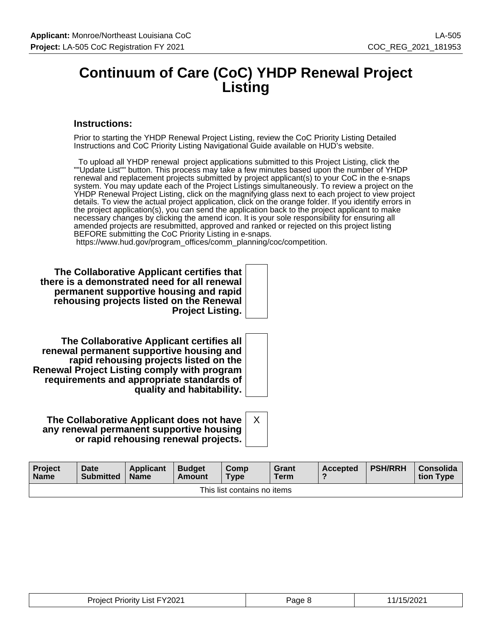## **Continuum of Care (CoC) YHDP Renewal Project Listing**

### **Instructions:**

Prior to starting the YHDP Renewal Project Listing, review the CoC Priority Listing Detailed Instructions and CoC Priority Listing Navigational Guide available on HUD's website.

 To upload all YHDP renewal project applications submitted to this Project Listing, click the ""Update List"" button. This process may take a few minutes based upon the number of YHDP renewal and replacement projects submitted by project applicant(s) to your CoC in the e-snaps system. You may update each of the Project Listings simultaneously. To review a project on the YHDP Renewal Project Listing, click on the magnifying glass next to each project to view project details. To view the actual project application, click on the orange folder. If you identify errors in the project application(s), you can send the application back to the project applicant to make necessary changes by clicking the amend icon. It is your sole responsibility for ensuring all amended projects are resubmitted, approved and ranked or rejected on this project listing BEFORE submitting the CoC Priority Listing in e-snaps.

https://www.hud.gov/program\_offices/comm\_planning/coc/competition.

**The Collaborative Applicant certifies that there is a demonstrated need for all renewal permanent supportive housing and rapid rehousing projects listed on the Renewal Project Listing.**

**The Collaborative Applicant certifies all renewal permanent supportive housing and rapid rehousing projects listed on the Renewal Project Listing comply with program requirements and appropriate standards of quality and habitability.**

**The Collaborative Applicant does not have any renewal permanent supportive housing or rapid rehousing renewal projects.**

| <b>Project</b><br><b>Name</b> | Date<br><b>Submitted</b> | <b>Applicant</b><br><b>Name</b> | <b>Budget</b><br>Amount | Comp<br><b>Type</b> | Grant<br><b>Term</b> | Accepted | <b>PSH/RRH</b> | Consolida<br>tion Type |
|-------------------------------|--------------------------|---------------------------------|-------------------------|---------------------|----------------------|----------|----------------|------------------------|
| This list contains no items   |                          |                                 |                         |                     |                      |          |                |                        |

X

| <b>Project Priority List FY2021</b> | Page P | 11/15/2021 |
|-------------------------------------|--------|------------|
|-------------------------------------|--------|------------|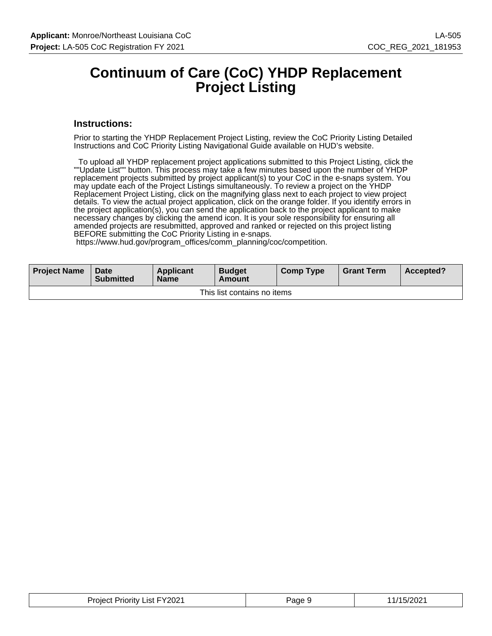## **Continuum of Care (CoC) YHDP Replacement Project Listing**

### **Instructions:**

Prior to starting the YHDP Replacement Project Listing, review the CoC Priority Listing Detailed Instructions and CoC Priority Listing Navigational Guide available on HUD's website.

 To upload all YHDP replacement project applications submitted to this Project Listing, click the ""Update List"" button. This process may take a few minutes based upon the number of YHDP replacement projects submitted by project applicant(s) to your CoC in the e-snaps system. You may update each of the Project Listings simultaneously. To review a project on the YHDP Replacement Project Listing, click on the magnifying glass next to each project to view project details. To view the actual project application, click on the orange folder. If you identify errors in the project application(s), you can send the application back to the project applicant to make necessary changes by clicking the amend icon. It is your sole responsibility for ensuring all amended projects are resubmitted, approved and ranked or rejected on this project listing BEFORE submitting the CoC Priority Listing in e-snaps.

https://www.hud.gov/program\_offices/comm\_planning/coc/competition.

| <b>Project Name</b>         | Date<br><b>Submitted</b> | Applicant<br><b>Name</b> | <b>Budget</b><br>Amount | <b>Comp Type</b> | <b>Grant Term</b> | Accepted? |
|-----------------------------|--------------------------|--------------------------|-------------------------|------------------|-------------------|-----------|
| This list contains no items |                          |                          |                         |                  |                   |           |

| <b>Project Priority List FY2021</b> | Page | 5/2021،<br>______ |
|-------------------------------------|------|-------------------|
|-------------------------------------|------|-------------------|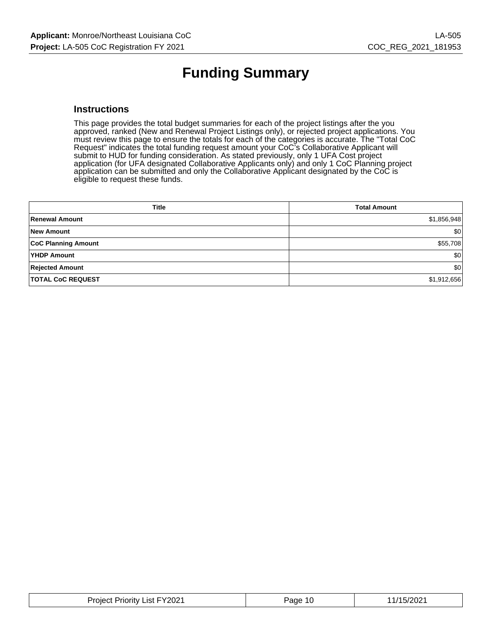# **Funding Summary**

#### **Instructions**

This page provides the total budget summaries for each of the project listings after the you approved, ranked (New and Renewal Project Listings only), or rejected project applications. You must review this page to ensure the totals for each of the categories is accurate. The "Total CoC Request" indicates the total funding request amount your CoC's Collaborative Applicant will submit to HUD for funding consideration. As stated previously, only 1 UFA Cost project application (for UFA designated Collaborative Applicants only) and only 1 CoC Planning project application can be submitted and only the Collaborative Applicant designated by the CoC is eligible to request these funds.

| <b>Title</b>               | <b>Total Amount</b> |
|----------------------------|---------------------|
| <b>Renewal Amount</b>      | \$1,856,948         |
| <b>New Amount</b>          | \$0                 |
| <b>CoC Planning Amount</b> | \$55,708            |
| <b>YHDP Amount</b>         | \$0                 |
| <b>Rejected Amount</b>     | \$0                 |
| <b>TOTAL CoC REQUEST</b>   | \$1,912,656         |

| Project Priority List FY2021 | Page 10 | 11/15/2021 |
|------------------------------|---------|------------|
|------------------------------|---------|------------|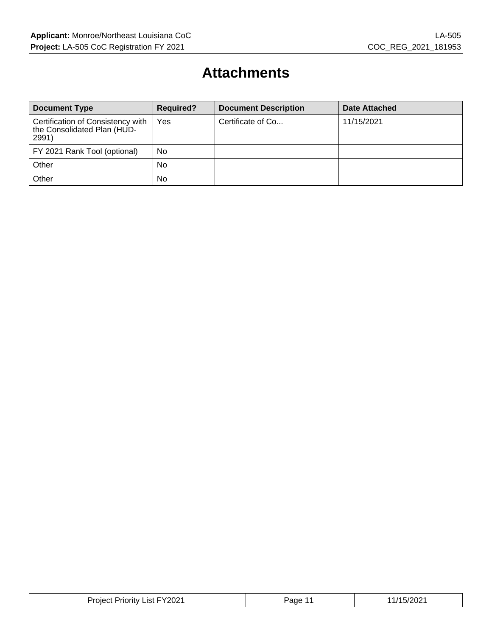## **Attachments**

| <b>Document Type</b>                                                      | <b>Required?</b> | <b>Document Description</b> | Date Attached |
|---------------------------------------------------------------------------|------------------|-----------------------------|---------------|
| Certification of Consistency with<br>the Consolidated Plan (HUD-<br>2991) | Yes              | Certificate of Co           | 11/15/2021    |
| FY 2021 Rank Tool (optional)                                              | No               |                             |               |
| Other                                                                     | <b>No</b>        |                             |               |
| Other                                                                     | No               |                             |               |

| voor -<br>.ıst<br>--<br>∠∪∠ | Page |  |
|-----------------------------|------|--|
|-----------------------------|------|--|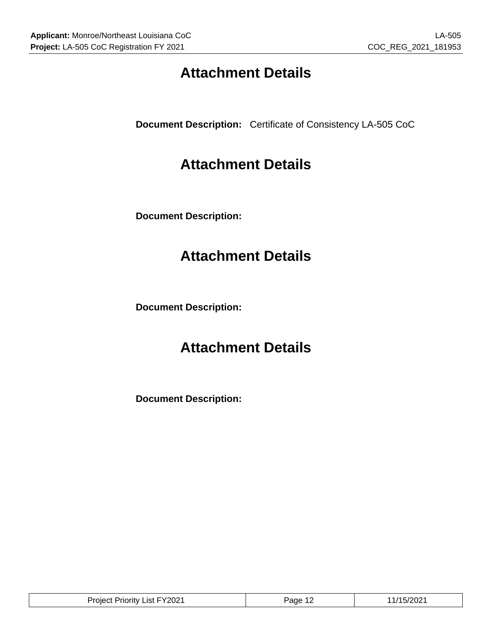# **Attachment Details**

**Document Description:** Certificate of Consistency LA-505 CoC

## **Attachment Details**

**Document Description:**

## **Attachment Details**

**Document Description:**

## **Attachment Details**

**Document Description:**

| List FY2021<br>Project<br><b>Priority L</b> | ane | $-120$<br>″∠∪∠ |
|---------------------------------------------|-----|----------------|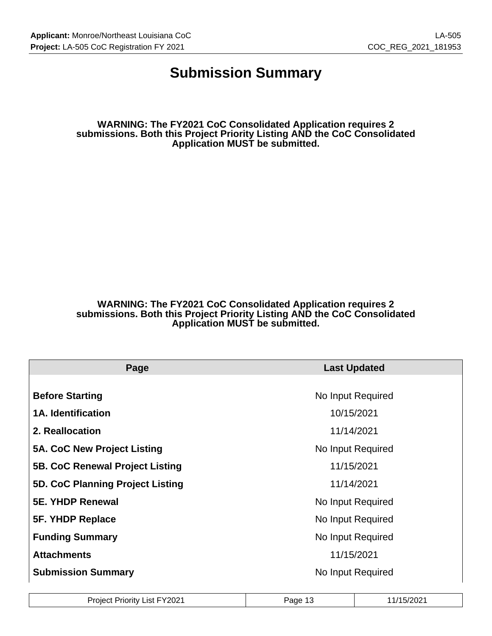## **Submission Summary**

**WARNING: The FY2021 CoC Consolidated Application requires 2 submissions. Both this Project Priority Listing AND the CoC Consolidated Application MUST be submitted.**

### **WARNING: The FY2021 CoC Consolidated Application requires 2 submissions. Both this Project Priority Listing AND the CoC Consolidated Application MUST be submitted.**

| Page                                   | <b>Last Updated</b> |
|----------------------------------------|---------------------|
|                                        |                     |
| <b>Before Starting</b>                 | No Input Required   |
| <b>1A. Identification</b>              | 10/15/2021          |
| 2. Reallocation                        | 11/14/2021          |
| 5A. CoC New Project Listing            | No Input Required   |
| <b>5B. CoC Renewal Project Listing</b> | 11/15/2021          |
| 5D. CoC Planning Project Listing       | 11/14/2021          |
| <b>5E. YHDP Renewal</b>                | No Input Required   |
| 5F. YHDP Replace                       | No Input Required   |
| <b>Funding Summary</b>                 | No Input Required   |
| <b>Attachments</b>                     | 11/15/2021          |
| <b>Submission Summary</b>              | No Input Required   |

| Project Priority List FY2021 | Page 13 | 11/15/2021 |
|------------------------------|---------|------------|
|------------------------------|---------|------------|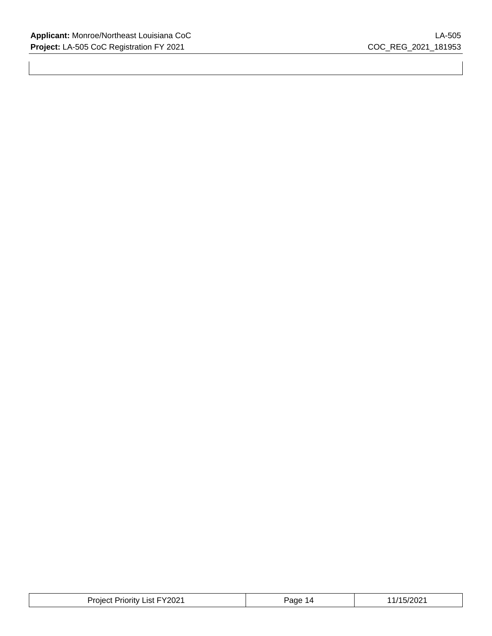$\mathbb{L}$ 

| . FY2021<br>⊥lSt<br>me<br>тн | 'ane: |  |
|------------------------------|-------|--|
|------------------------------|-------|--|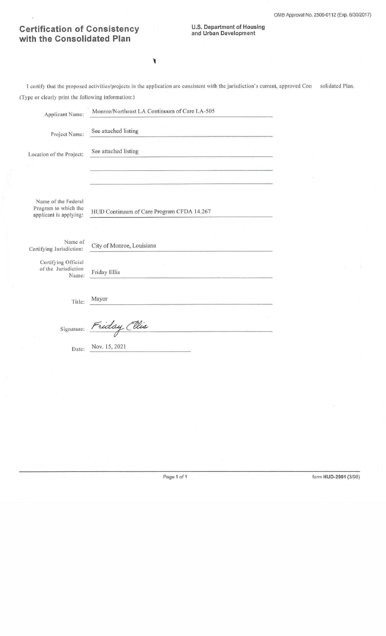### **Certification of Consistency** with the Consolidated Plan

**U.S. Department of Housing<br>and Urban Development** 

٦

I certify that the proposed activities/projects in the application are consistent with the jurisdiction's current, approved Con solidated Plan. (Type or clearly print the following information:)

| Applicant Name:                                                       | Monroe/Northeast LA Continuum of Care LA-505 |  |  |  |  |  |
|-----------------------------------------------------------------------|----------------------------------------------|--|--|--|--|--|
| Project Name:                                                         | See attached listing                         |  |  |  |  |  |
| Location of the Project:                                              | See attached listing                         |  |  |  |  |  |
|                                                                       |                                              |  |  |  |  |  |
|                                                                       |                                              |  |  |  |  |  |
| Name of the Federal<br>Program to which the<br>applicant is applying: | HUD Continuum of Care Program CFDA 14.267    |  |  |  |  |  |
|                                                                       |                                              |  |  |  |  |  |
| Name of<br>Certifying Jurisdiction:                                   | City of Monroe, Louisiana                    |  |  |  |  |  |
| Certifying Official<br>of the Jurisdiction<br>Name:                   | Friday Ellis                                 |  |  |  |  |  |
|                                                                       |                                              |  |  |  |  |  |
| Title:                                                                | Mayor                                        |  |  |  |  |  |
|                                                                       |                                              |  |  |  |  |  |
| Signature:                                                            | Friday Ellis                                 |  |  |  |  |  |
| Date:                                                                 | Nov. 15, 2021                                |  |  |  |  |  |
|                                                                       |                                              |  |  |  |  |  |

Page 1 of 1

form HUD-2991 (3/98)